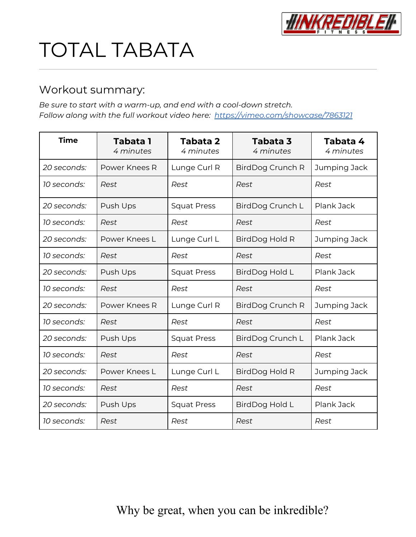

# TOTAL TABATA

## Workout summary:

*Be sure to start with a warm-up, and end with a cool-down stretch. Follow along with the full workout video here: <https://vimeo.com/showcase/7863121>*

| <b>Time</b> | <b>Tabata 1</b><br>4 minutes | Tabata 2<br>4 minutes | Tabata 3<br>4 minutes | Tabata 4<br>4 minutes |
|-------------|------------------------------|-----------------------|-----------------------|-----------------------|
| 20 seconds: | Power Knees R                | Lunge Curl R          | BirdDog Crunch R      | Jumping Jack          |
| 10 seconds: | Rest                         | Rest                  | Rest                  | Rest                  |
| 20 seconds: | Push Ups                     | <b>Squat Press</b>    | BirdDog Crunch L      | Plank Jack            |
| 10 seconds: | Rest                         | Rest                  | Rest                  | Rest                  |
| 20 seconds: | Power Knees L                | Lunge Curl L          | BirdDog Hold R        | Jumping Jack          |
| 10 seconds: | Rest                         | Rest                  | Rest                  | Rest                  |
| 20 seconds: | Push Ups                     | <b>Squat Press</b>    | BirdDog Hold L        | Plank Jack            |
| 10 seconds: | Rest                         | Rest                  | Rest                  | Rest                  |
| 20 seconds: | Power Knees R                | Lunge Curl R          | BirdDog Crunch R      | Jumping Jack          |
| 10 seconds: | Rest                         | Rest                  | Rest                  | Rest                  |
| 20 seconds: | Push Ups                     | <b>Squat Press</b>    | BirdDog Crunch L      | Plank Jack            |
| 10 seconds: | Rest                         | Rest                  | Rest                  | Rest                  |
| 20 seconds: | Power Knees L                | Lunge Curl L          | BirdDog Hold R        | Jumping Jack          |
| 10 seconds: | Rest                         | Rest                  | Rest                  | Rest                  |
| 20 seconds: | Push Ups                     | <b>Squat Press</b>    | <b>BirdDog Hold L</b> | Plank Jack            |
| 10 seconds: | Rest                         | Rest                  | Rest                  | Rest                  |

# Why be great, when you can be inkredible?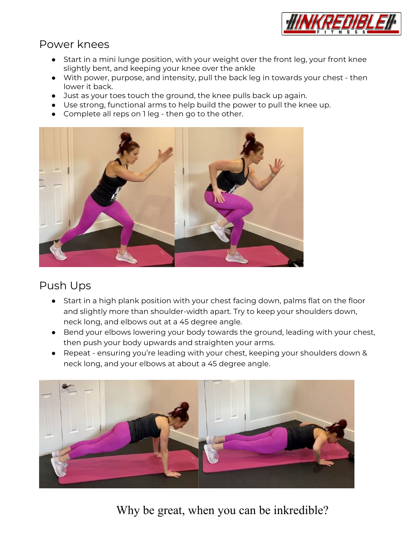

#### Power knees

- Start in a mini lunge position, with your weight over the front leg, your front knee slightly bent, and keeping your knee over the ankle
- With power, purpose, and intensity, pull the back leg in towards your chest then lower it back.
- Just as your toes touch the ground, the knee pulls back up again.
- Use strong, functional arms to help build the power to pull the knee up.
- Complete all reps on 1 leg then go to the other.



## Push Ups

- Start in a high plank position with your chest facing down, palms flat on the floor and slightly more than shoulder-width apart. Try to keep your shoulders down, neck long, and elbows out at a 45 degree angle.
- Bend your elbows lowering your body towards the ground, leading with your chest, then push your body upwards and straighten your arms.
- Repeat ensuring you're leading with your chest, keeping your shoulders down & neck long, and your elbows at about a 45 degree angle.



Why be great, when you can be inkredible?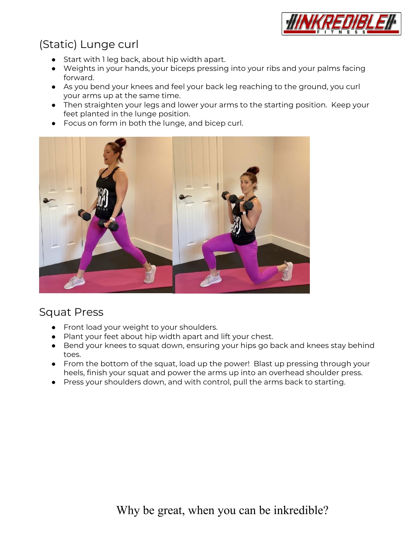

# (Static) Lunge curl

- Start with 1 leg back, about hip width apart.
- Weights in your hands, your biceps pressing into your ribs and your palms facing forward.
- As you bend your knees and feel your back leg reaching to the ground, you curl your arms up at the same time.
- Then straighten your legs and lower your arms to the starting position. Keep your feet planted in the lunge position.
- Focus on form in both the lunge, and bicep curl.



#### Squat Press

- Front load your weight to your shoulders.
- Plant your feet about hip width apart and lift your chest.
- Bend your knees to squat down, ensuring your hips go back and knees stay behind toes.
- From the bottom of the squat, load up the power! Blast up pressing through your heels, finish your squat and power the arms up into an overhead shoulder press.
- Press your shoulders down, and with control, pull the arms back to starting.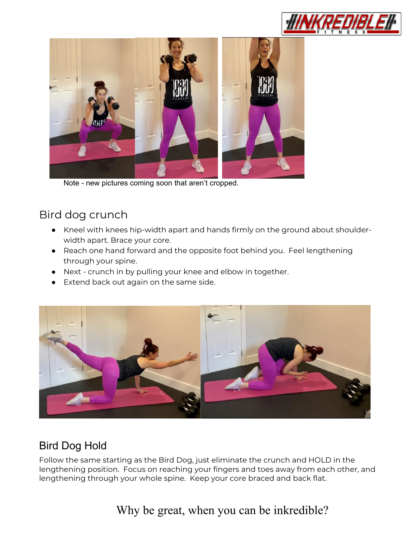



Note - new pictures coming soon that aren't cropped.

# Bird dog crunch

- Kneel with knees hip-width apart and hands firmly on the ground about shoulderwidth apart. Brace your core.
- Reach one hand forward and the opposite foot behind you. Feel lengthening through your spine.
- Next crunch in by pulling your knee and elbow in together.
- Extend back out again on the same side.



# Bird Dog Hold

Follow the same starting as the Bird Dog, just eliminate the crunch and HOLD in the lengthening position. Focus on reaching your fingers and toes away from each other, and lengthening through your whole spine. Keep your core braced and back flat.

# Why be great, when you can be inkredible?